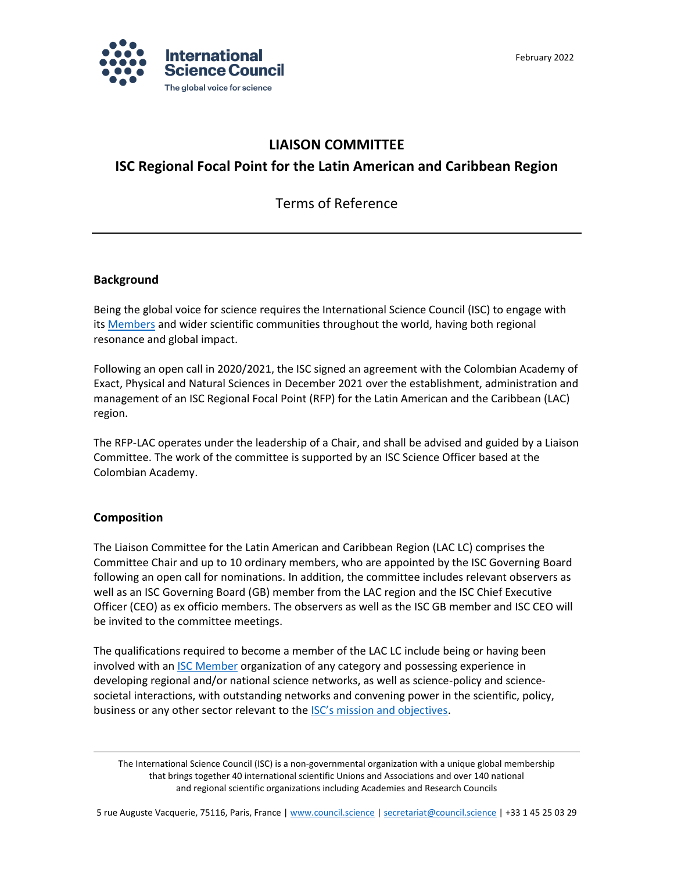

## **LIAISON COMMITTEE**

# **ISC Regional Focal Point for the Latin American and Caribbean Region**

Terms of Reference

#### **Background**

Being the global voice for science requires the International Science Council (ISC) to engage with its [Members](https://council.science/members/online-directory/) and wider scientific communities throughout the world, having both regional resonance and global impact.

Following an open call in 2020/2021, the ISC signed an agreement with the Colombian Academy of Exact, Physical and Natural Sciences in December 2021 over the establishment, administration and management of an ISC Regional Focal Point (RFP) for the Latin American and the Caribbean (LAC) region.

The RFP-LAC operates under the leadership of a Chair, and shall be advised and guided by a Liaison Committee. The work of the committee is supported by an ISC Science Officer based at the Colombian Academy.

## **Composition**

The Liaison Committee for the Latin American and Caribbean Region (LAC LC) comprises the Committee Chair and up to 10 ordinary members, who are appointed by the ISC Governing Board following an open call for nominations. In addition, the committee includes relevant observers as well as an ISC Governing Board (GB) member from the LAC region and the ISC Chief Executive Officer (CEO) as ex officio members. The observers as well as the ISC GB member and ISC CEO will be invited to the committee meetings.

The qualifications required to become a member of the LAC LC include being or having been involved with an [ISC Member](https://council.science/members/online-directory/) organization of any category and possessing experience in developing regional and/or national science networks, as well as science-policy and sciencesocietal interactions, with outstanding networks and convening power in the scientific, policy, business or any other sector relevant to the [ISC's mission and objectives](https://council.science/about-us/).

The International Science Council (ISC) is a non-governmental organization with a unique global membership that brings together 40 international scientific Unions and Associations and over 140 national and regional scientific organizations including Academies and Research Councils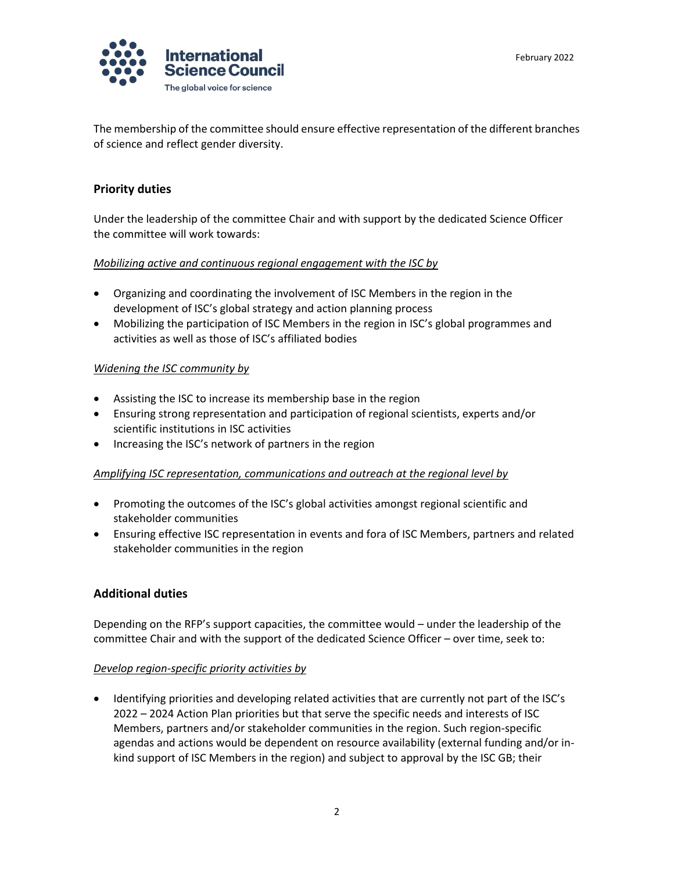

The membership of the committee should ensure effective representation of the different branches of science and reflect gender diversity.

## **Priority duties**

Under the leadership of the committee Chair and with support by the dedicated Science Officer the committee will work towards:

#### *Mobilizing active and continuous regional engagement with the ISC by*

- Organizing and coordinating the involvement of ISC Members in the region in the development of ISC's global strategy and action planning process
- Mobilizing the participation of ISC Members in the region in ISC's global programmes and activities as well as those of ISC's affiliated bodies

## *Widening the ISC community by*

- Assisting the ISC to increase its membership base in the region
- Ensuring strong representation and participation of regional scientists, experts and/or scientific institutions in ISC activities
- Increasing the ISC's network of partners in the region

#### *Amplifying ISC representation, communications and outreach at the regional level by*

- Promoting the outcomes of the ISC's global activities amongst regional scientific and stakeholder communities
- Ensuring effective ISC representation in events and fora of ISC Members, partners and related stakeholder communities in the region

## **Additional duties**

Depending on the RFP's support capacities, the committee would – under the leadership of the committee Chair and with the support of the dedicated Science Officer – over time, seek to:

#### *Develop region-specific priority activities by*

• Identifying priorities and developing related activities that are currently not part of the ISC's 2022 – 2024 Action Plan priorities but that serve the specific needs and interests of ISC Members, partners and/or stakeholder communities in the region. Such region-specific agendas and actions would be dependent on resource availability (external funding and/or inkind support of ISC Members in the region) and subject to approval by the ISC GB; their